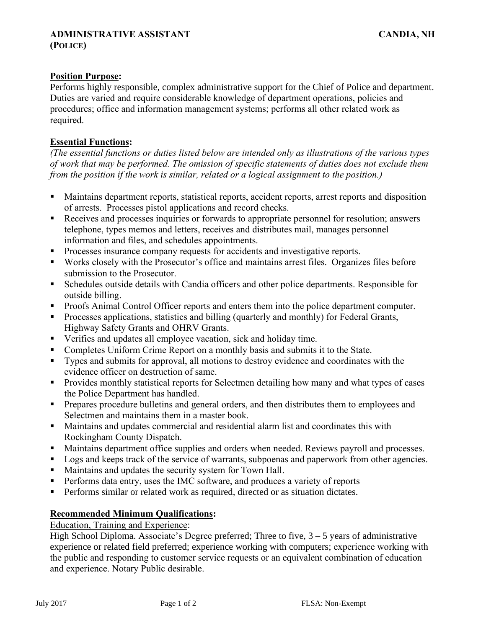## **Position Purpose:**

Performs highly responsible, complex administrative support for the Chief of Police and department. Duties are varied and require considerable knowledge of department operations, policies and procedures; office and information management systems; performs all other related work as required.

### **Essential Functions:**

*(The essential functions or duties listed below are intended only as illustrations of the various types of work that may be performed. The omission of specific statements of duties does not exclude them from the position if the work is similar, related or a logical assignment to the position.)*

- Maintains department reports, statistical reports, accident reports, arrest reports and disposition of arrests. Processes pistol applications and record checks.
- Receives and processes inquiries or forwards to appropriate personnel for resolution; answers telephone, types memos and letters, receives and distributes mail, manages personnel information and files, and schedules appointments.
- Processes insurance company requests for accidents and investigative reports.
- Works closely with the Prosecutor's office and maintains arrest files. Organizes files before submission to the Prosecutor.
- Schedules outside details with Candia officers and other police departments. Responsible for outside billing.
- Proofs Animal Control Officer reports and enters them into the police department computer.
- Processes applications, statistics and billing (quarterly and monthly) for Federal Grants, Highway Safety Grants and OHRV Grants.
- Verifies and updates all employee vacation, sick and holiday time.
- Completes Uniform Crime Report on a monthly basis and submits it to the State.
- Types and submits for approval, all motions to destroy evidence and coordinates with the evidence officer on destruction of same.
- **•** Provides monthly statistical reports for Selectmen detailing how many and what types of cases the Police Department has handled.
- **•** Prepares procedure bulletins and general orders, and then distributes them to employees and Selectmen and maintains them in a master book.
- Maintains and updates commercial and residential alarm list and coordinates this with Rockingham County Dispatch.
- Maintains department office supplies and orders when needed. Reviews payroll and processes.
- Logs and keeps track of the service of warrants, subpoenas and paperwork from other agencies.
- Maintains and updates the security system for Town Hall.
- **•** Performs data entry, uses the IMC software, and produces a variety of reports
- **•** Performs similar or related work as required, directed or as situation dictates.

# **Recommended Minimum Qualifications:**

Education, Training and Experience:

High School Diploma. Associate's Degree preferred; Three to five,  $3 - 5$  years of administrative experience or related field preferred; experience working with computers; experience working with the public and responding to customer service requests or an equivalent combination of education and experience. Notary Public desirable.